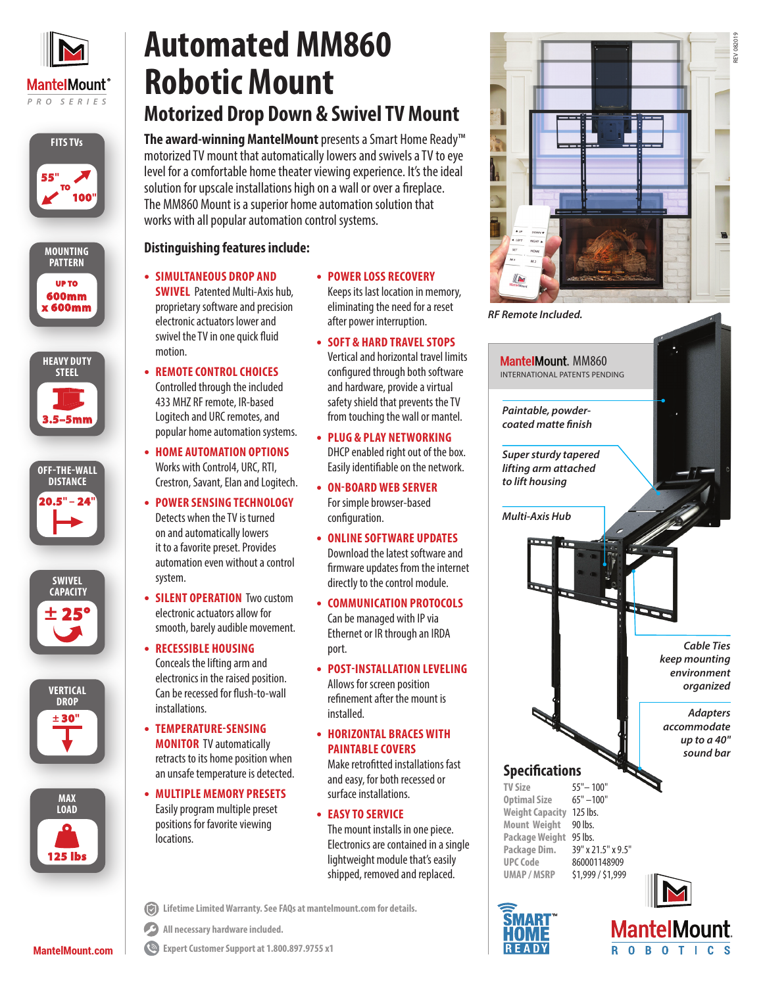

# **Automated MM860 Robotic Mount Motorized Drop Down & Swivel TV Mount**

**The award-winning MantelMount** presentsa Smart Home Ready™















**MantelMount.com**

#### motorized TV mount that automatically lowers and swivels a TV to eye level for a comfortable home theater viewing experience. It's the ideal solution for upscale installations high on a wall or over a fireplace. The MM860 Mount is a superior home automation solution that works with all popular automation control systems. **Distinguishing features include:**

- **• SIMULTANEOUS DROP AND SWIVEL** Patented Multi-Axis hub, proprietary software and precision electronic actuators lower and swivel the TV in one quick fluid motion.
- **• REMOTE CONTROL CHOICES** Controlled through the included 433 MHZ RF remote, IR-based Logitech and URC remotes, and popular home automation systems.
- **• HOME AUTOMATION OPTIONS**  Works with Control4, URC, RTI, Crestron, Savant, Elan and Logitech.
- **• POWER SENSING TECHNOLOGY** Detects when the TV is turned on and automatically lowers it to a favorite preset. Provides automation even without a control system.
- **• SILENT OPERATION** Two custom electronic actuators allow for smooth, barely audible movement.
- **• RECESSIBLE HOUSING** Conceals the lifting arm and electronics in the raised position. Can be recessed for flush-to-wall installations.
- **• TEMPERATURE-SENSING MONITOR** TV automatically retracts to its home position when an unsafe temperature is detected.
- **• MULTIPLE MEMORY PRESETS** Easily program multiple preset positions for favorite viewing locations.
- **• POWER LOSS RECOVERY** Keeps its last location in memory, eliminating the need for a reset after power interruption.
- **• SOFT & HARD TRAVEL STOPS** Vertical and horizontal travel limits configured through both software and hardware, provide a virtual safety shield that prevents the TV from touching the wall or mantel.
- **• PLUG & PLAY NETWORKING** DHCP enabled right out of the box. Easily identifiable on the network.
- **• ON-BOARD WEB SERVER**  For simple browser-based configuration.
- **• ONLINE SOFTWARE UPDATES** Download the latest software and firmware updates from the internet directly to the control module.
- **• COMMUNICATION PROTOCOLS**  Can be managed with IP via Ethernet or IR through an IRDA port.
- **• POST-INSTALLATION LEVELING** Allows for screen position refinement after the mount is installed.
- **• HORIZONTAL BRACES WITH PAINTABLE COVERS** Make retrofitted installations fast and easy, for both recessed or surface installations.
- **• EASY TO SERVICE**  The mount installs in one piece. Electronics are contained in a single lightweight module that's easily shipped, removed and replaced.
- **Lifetime Limited Warranty. See FAQs at mantelmount.com for details.**



 $\bigcirc$ **Expert Customer Support at 1.800.897.9755 x1**



INTERNATIONAL PATENTS PENDING MantelMount. MM860 *Adapters accommodate up to a 40" sound bar Cable Ties keep mounting environment organized Multi-Axis Hub Super sturdy tapered lifting arm attached to lift housing Paintable, powdercoated matte finish* **Specifications TV Size** 55" – 100"<br> **Optimal Size** 65" – 100" **Optimal Size Weight Capacity** 125 lbs. **Mount Weight** 90 lbs. **Package Weight** 95 lbs. **Package Dim.** 39" x 21.5" x 9.5" **UPC Code** 860001148909 **UMAP / MSRP** \$1,999 / \$1,999